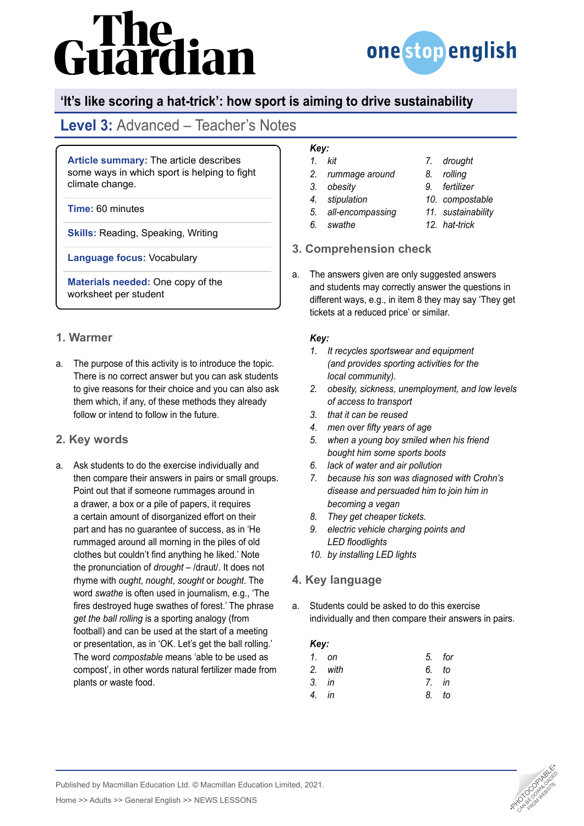# The<br>uardian



## **'It's like scoring a hat-trick': how sport is aiming to drive sustainability**

# **Level 3:** Advanced – Teacher's Notes

**Article summary:** The article describes some ways in which sport is helping to fight climate change.

#### **Time:** 60 minutes

**Skills:** Reading, Speaking, Writing

**Language focus:** Vocabulary

**Materials needed:** One copy of the worksheet per student

## **1. Warmer**

a. The purpose of this activity is to introduce the topic. There is no correct answer but you can ask students to give reasons for their choice and you can also ask them which, if any, of these methods they already follow or intend to follow in the future.

## **2. Key words**

a. Ask students to do the exercise individually and then compare their answers in pairs or small groups. Point out that if someone rummages around in a drawer, a box or a pile of papers, it requires a certain amount of disorganized effort on their part and has no guarantee of success, as in 'He rummaged around all morning in the piles of old clothes but couldn't find anything he liked.' Note the pronunciation of *drought* – /draut/. It does not rhyme with *ought*, *nought*, *sought* or *bought*. The word *swathe* is often used in journalism, e.g., 'The fires destroyed huge swathes of forest.' The phrase *get the ball rolling* is a sporting analogy (from football) and can be used at the start of a meeting or presentation, as in 'OK. Let's get the ball rolling.' The word *compostable* means 'able to be used as compost', in other words natural fertilizer made from plants or waste food.

#### *Key: 1. kit*

- *2. rummage around*
- *3. obesity*
- *4. stipulation*
- *5. all-encompassing*
- *6. swathe*
- *9. fertilizer*

*7. drought 8. rolling*

- *10. compostable*
- *11. sustainability*
- *12. hat-trick*

### **3. Comprehension check**

a. The answers given are only suggested answers and students may correctly answer the questions in different ways, e.g., in item 8 they may say 'They get tickets at a reduced price' or similar.

#### *Key:*

- *1. It recycles sportswear and equipment (and provides sporting activities for the local community).*
- *2. obesity, sickness, unemployment, and low levels of access to transport*
- *3. that it can be reused*
- *4. men over fifty years of age*
- *5. when a young boy smiled when his friend bought him some sports boots*
- *6. lack of water and air pollution*
- *7. because his son was diagnosed with Crohn's disease and persuaded him to join him in becoming a vegan*
- *8. They get cheaper tickets.*
- *9. electric vehicle charging points and LED floodlights*
- *10. by installing LED lights*

### **4. Key language**

a. Students could be asked to do this exercise individually and then compare their answers in pairs.

#### *Key:*

|                                    | 5. for |
|------------------------------------|--------|
| 6. to                              |        |
| 7. in                              |        |
| 8. to                              |        |
| 1. on<br>2. with<br>3. in<br>4. in |        |



Published by Macmillan Education Ltd. © Macmillan Education Limited, 2021.

Home >> Adults >> General English >> NEWS LESSONS